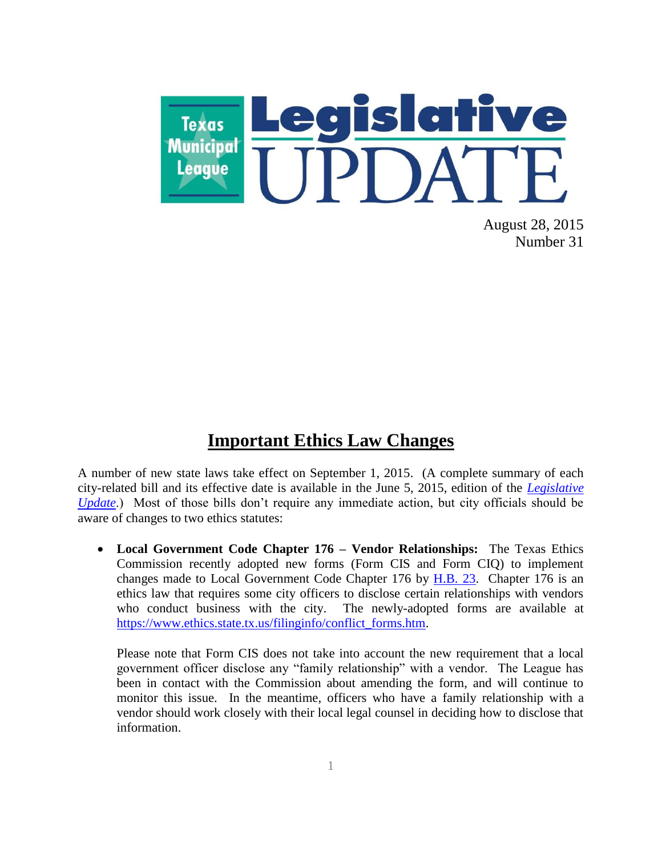

August 28, 2015 Number 31

#### **Important Ethics Law Changes**

A number of new state laws take effect on September 1, 2015. (A complete summary of each city-related bill and its effective date is available in the June 5, 2015, edition of the *[Legislative](http://www.tml.org/legis_updates)  [Update](http://www.tml.org/legis_updates)*.) Most of those bills don't require any immediate action, but city officials should be aware of changes to two ethics statutes:

 **Local Government Code Chapter 176 – Vendor Relationships:** The Texas Ethics Commission recently adopted new forms (Form CIS and Form CIQ) to implement changes made to Local Government Code Chapter 176 by [H.B. 23.](http://www.capitol.state.tx.us/tlodocs/84R/billtext/pdf/HB00023F.pdf#navpanes=0) Chapter 176 is an ethics law that requires some city officers to disclose certain relationships with vendors who conduct business with the city. The newly-adopted forms are available at [https://www.ethics.state.tx.us/filinginfo/conflict\\_forms.htm.](https://www.ethics.state.tx.us/filinginfo/conflict_forms.htm)

Please note that Form CIS does not take into account the new requirement that a local government officer disclose any "family relationship" with a vendor. The League has been in contact with the Commission about amending the form, and will continue to monitor this issue. In the meantime, officers who have a family relationship with a vendor should work closely with their local legal counsel in deciding how to disclose that information.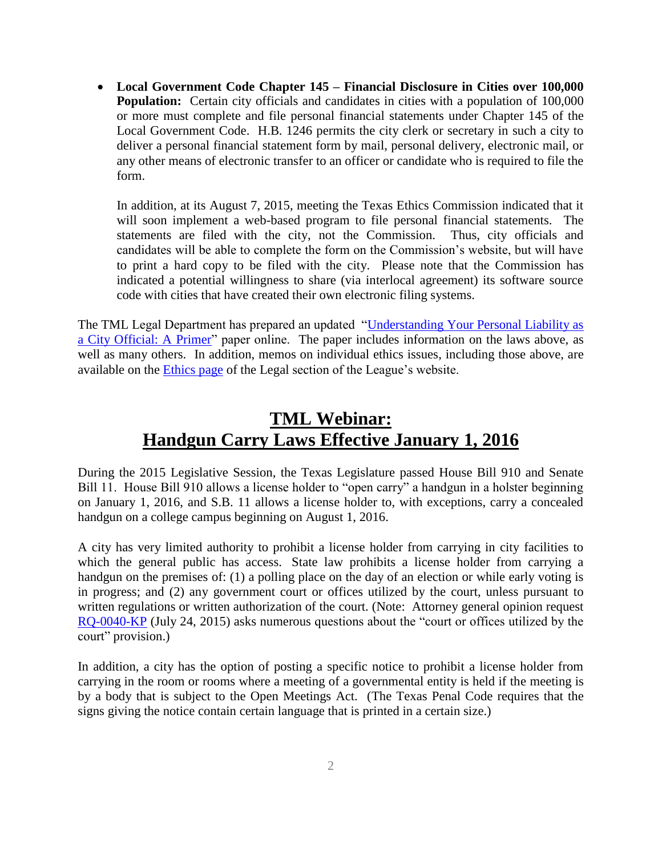**Local Government Code Chapter 145 – Financial Disclosure in Cities over 100,000 Population:** Certain city officials and candidates in cities with a population of 100,000 or more must complete and file personal financial statements under Chapter 145 of the Local Government Code. H.B. 1246 permits the city clerk or secretary in such a city to deliver a personal financial statement form by mail, personal delivery, electronic mail, or any other means of electronic transfer to an officer or candidate who is required to file the form.

In addition, at its August 7, 2015, meeting the Texas Ethics Commission indicated that it will soon implement a web-based program to file personal financial statements. The statements are filed with the city, not the Commission. Thus, city officials and candidates will be able to complete the form on the Commission's website, but will have to print a hard copy to be filed with the city. Please note that the Commission has indicated a potential willingness to share (via interlocal agreement) its software source code with cities that have created their own electronic filing systems.

The TML Legal Department has prepared an updated "Understanding Your Personal Liability as a [City Official: A Primer"](http://www.tml.org/p/Personal%20Liability%20Primer_Aug%202015.pdf) paper online. The paper includes information on the laws above, as well as many others. In addition, memos on individual ethics issues, including those above, are available on the [Ethics page](http://www.tml.org/legal_topics-legal_ethics) of the Legal section of the League's website.

## **TML Webinar: Handgun Carry Laws Effective January 1, 2016**

During the 2015 Legislative Session, the Texas Legislature passed House Bill 910 and Senate Bill 11. House Bill 910 allows a license holder to "open carry" a handgun in a holster beginning on January 1, 2016, and S.B. 11 allows a license holder to, with exceptions, carry a concealed handgun on a college campus beginning on August 1, 2016.

A city has very limited authority to prohibit a license holder from carrying in city facilities to which the general public has access. State law prohibits a license holder from carrying a handgun on the premises of: (1) a polling place on the day of an election or while early voting is in progress; and (2) any government court or offices utilized by the court, unless pursuant to written regulations or written authorization of the court. (Note: Attorney general opinion request [RQ-0040-KP](https://www.texasattorneygeneral.gov/opinions/opinions/51paxton/rq/2015/pdf/RQ0040KP.pdf) (July 24, 2015) asks numerous questions about the "court or offices utilized by the court" provision.)

In addition, a city has the option of posting a specific notice to prohibit a license holder from carrying in the room or rooms where a meeting of a governmental entity is held if the meeting is by a body that is subject to the Open Meetings Act. (The Texas Penal Code requires that the signs giving the notice contain certain language that is printed in a certain size.)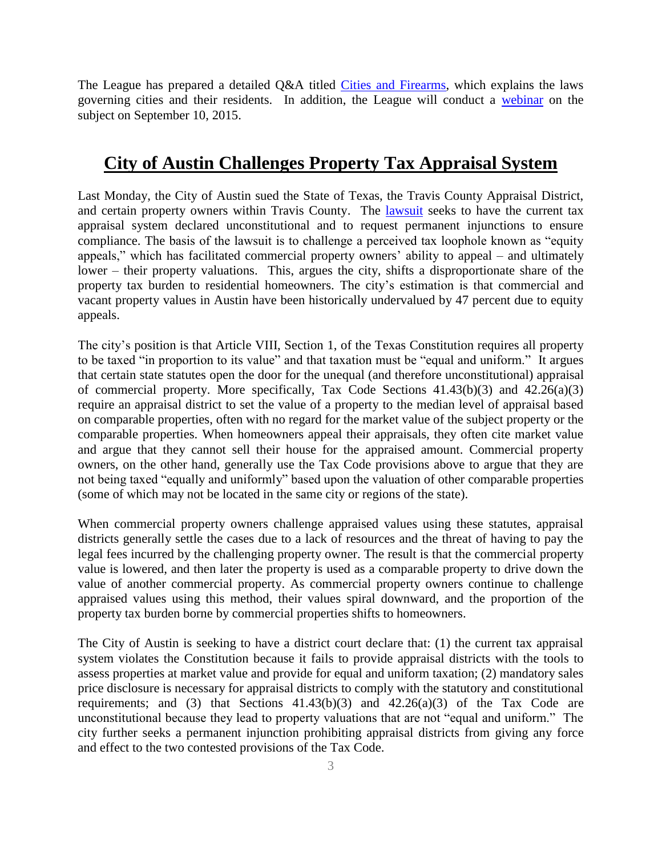The League has prepared a detailed Q&A titled [Cities and Firearms,](http://www.tml.org/p/Aug%202015%20QA%20MunicipalGunRegulationFINAL%20with%20chart.pdf) which explains the laws governing cities and their residents. In addition, the League will conduct a [webinar](http://www.tml.org/events/stay-on-target-cities-and-firearms) on the subject on September 10, 2015.

#### **City of Austin Challenges Property Tax Appraisal System**

Last Monday, the City of Austin sued the State of Texas, the Travis County Appraisal District, and certain property owners within Travis County. The [lawsuit](http://www.quorumreport.com/downloadit.cfm?DocID=10315) seeks to have the current tax appraisal system declared unconstitutional and to request permanent injunctions to ensure compliance. The basis of the lawsuit is to challenge a perceived tax loophole known as "equity appeals," which has facilitated commercial property owners' ability to appeal – and ultimately lower – their property valuations. This, argues the city, shifts a disproportionate share of the property tax burden to residential homeowners. The city's estimation is that commercial and vacant property values in Austin have been historically undervalued by 47 percent due to equity appeals.

The city's position is that Article VIII, Section 1, of the Texas Constitution requires all property to be taxed "in proportion to its value" and that taxation must be "equal and uniform." It argues that certain state statutes open the door for the unequal (and therefore unconstitutional) appraisal of commercial property. More specifically, Tax Code Sections  $41.43(b)(3)$  and  $42.26(a)(3)$ require an appraisal district to set the value of a property to the median level of appraisal based on comparable properties, often with no regard for the market value of the subject property or the comparable properties. When homeowners appeal their appraisals, they often cite market value and argue that they cannot sell their house for the appraised amount. Commercial property owners, on the other hand, generally use the Tax Code provisions above to argue that they are not being taxed "equally and uniformly" based upon the valuation of other comparable properties (some of which may not be located in the same city or regions of the state).

When commercial property owners challenge appraised values using these statutes, appraisal districts generally settle the cases due to a lack of resources and the threat of having to pay the legal fees incurred by the challenging property owner. The result is that the commercial property value is lowered, and then later the property is used as a comparable property to drive down the value of another commercial property. As commercial property owners continue to challenge appraised values using this method, their values spiral downward, and the proportion of the property tax burden borne by commercial properties shifts to homeowners.

The City of Austin is seeking to have a district court declare that: (1) the current tax appraisal system violates the Constitution because it fails to provide appraisal districts with the tools to assess properties at market value and provide for equal and uniform taxation; (2) mandatory sales price disclosure is necessary for appraisal districts to comply with the statutory and constitutional requirements; and (3) that Sections  $41.43(b)(3)$  and  $42.26(a)(3)$  of the Tax Code are unconstitutional because they lead to property valuations that are not "equal and uniform." The city further seeks a permanent injunction prohibiting appraisal districts from giving any force and effect to the two contested provisions of the Tax Code.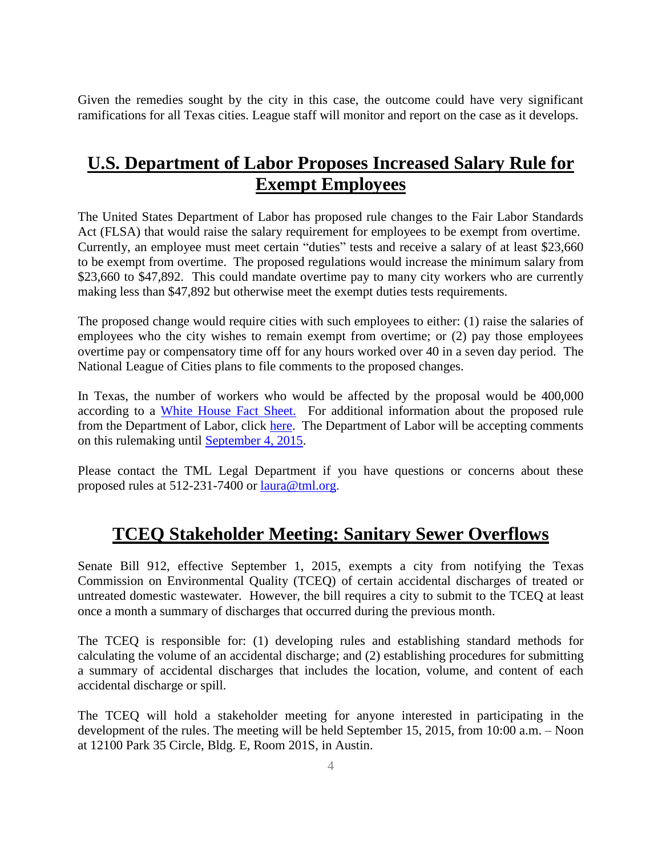Given the remedies sought by the city in this case, the outcome could have very significant ramifications for all Texas cities. League staff will monitor and report on the case as it develops.

## **U.S. Department of Labor Proposes Increased Salary Rule for Exempt Employees**

The United States Department of Labor has proposed rule changes to the Fair Labor Standards Act (FLSA) that would raise the salary requirement for employees to be exempt from overtime. Currently, an employee must meet certain "duties" tests and receive a salary of at least \$23,660 to be exempt from overtime. The proposed regulations would increase the minimum salary from \$23,660 to \$47,892. This could mandate overtime pay to many city workers who are currently making less than \$47,892 but otherwise meet the exempt duties tests requirements.

The proposed change would require cities with such employees to either: (1) raise the salaries of employees who the city wishes to remain exempt from overtime; or (2) pay those employees overtime pay or compensatory time off for any hours worked over 40 in a seven day period. The National League of Cities plans to file comments to the proposed changes.

In Texas, the number of workers who would be affected by the proposal would be 400,000 according to a [White House Fact Sheet.](https://www.whitehouse.gov/sites/default/files/docs/ot_state_by_state_fact_sheet.pdf) For additional information about the proposed rule from the Department of Labor, click [here.](http://www.dol.gov/whd/overtime/NPRM2015/) The Department of Labor will be accepting comments on this rulemaking until [September 4, 2015.](http://www.regulations.gov/#!submitComment;D=WHD-2015-0001-0001)

Please contact the TML Legal Department if you have questions or concerns about these proposed rules at 512-231-7400 or [laura@tml.org.](mailto:laura@tml.org)

## **TCEQ Stakeholder Meeting: Sanitary Sewer Overflows**

Senate Bill 912, effective September 1, 2015, exempts a city from notifying the Texas Commission on Environmental Quality (TCEQ) of certain accidental discharges of treated or untreated domestic wastewater. However, the bill requires a city to submit to the TCEQ at least once a month a summary of discharges that occurred during the previous month.

The TCEQ is responsible for: (1) developing rules and establishing standard methods for calculating the volume of an accidental discharge; and (2) establishing procedures for submitting a summary of accidental discharges that includes the location, volume, and content of each accidental discharge or spill.

The TCEQ will hold a stakeholder meeting for anyone interested in participating in the development of the rules. The meeting will be held September 15, 2015, from 10:00 a.m. – Noon at 12100 Park 35 Circle, Bldg. E, Room 201S, in Austin.